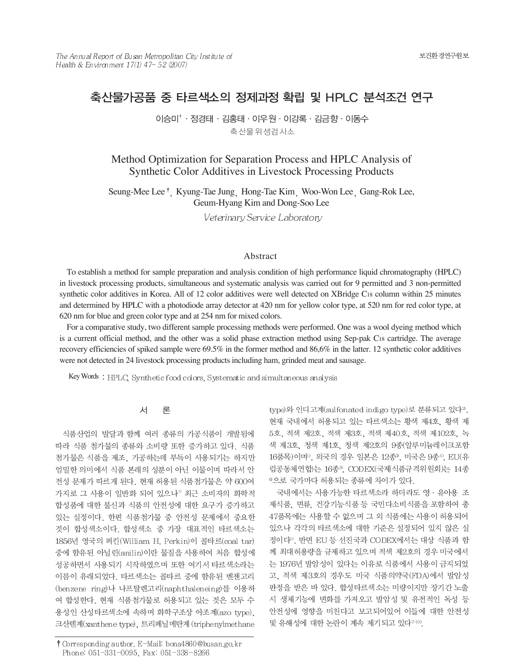# 축산물가공품 중 타르색소의 정제과정 확립 및 HPLC 분석조건 연구

이승미<sup>↑</sup> · 정경태 · 김홍태 · 이우원 · 이강록 · 김금향 · 이동수 축산물위생검사소

Method Optimization for Separation Process and HPLC Analysis of Synthetic Color Additives in Livestock Processing Products

Seung-Mee Lee<sup>†</sup>, Kyung-Tae Jung, Hong-Tae Kim, Woo-Won Lee, Gang-Rok Lee, Geum-Hyang Kim and Dong-Soo Lee

Veterinary Service Laboratory

### Abstract

To establish a method for sample preparation and analysis condition of high performance liquid chromatography (HPLC) in livestock processing products, simultaneous and systematic analysis was carried out for 9 permitted and 3 non-permitted synthetic color additives in Korea. All of 12 color additives were well detected on XBridge C18 column within 25 minutes and determined by HPLC with a photodiode array detector at 420 nm for yellow color type, at 520 nm for red color type, at 620 nm for blue and green color type and at 254 nm for mixed colors.

For a comparative study, two different sample processing methods were performed. One was a wool dyeing method which is a current official method, and the other was a solid phase extraction method using Sep-pak C18 cartridge. The average recovery efficiencies of spiked sample were 69.5% in the former method and 86,6% in the latter. 12 synthetic color additives were not detected in 24 livestock processing products including ham, grinded meat and sausage.

Key Words: HPLC, Synthetic food colors, Systematic and simultaneous analysis

#### 서 론

식품산업의 발달과 함께 여러 종류의 가공식품이 개발됨에 따라 식품 첨가물의 종류와 소비량 또한 증가하고 있다. 식품 첨가물은 식품을 제조, 가공하는데 부득이 사용되기는 하지만 엄밀한 의미에서 식품 본래의 성분이 아닌 이물이며 따라서 안 전성 문제가 따르게 된다. 현재 허용된 식품첨가물은 약 600여 가지로 그 사용이 일반화 되어 있으나<sup>" 최근 소비자의 화학적</sup> 합성품에 대한 불신과 식품의 안전성에 대한 요구가 증가하고 있는 실정이다. 한편 식품첨가물 중 안전성 문제에서 중요한 것이 합성색소이다. 합성색소 중 가장 대표적인 타르색소는 1856년 영국의 퍼킨(William H. Perkin)이 콜타르(coal tar) 중에 함유된 아닐린(anilin)이란 물질을 사용하여 처음 합성에 성공하면서 사용되기 시작하였으며 또한 여기서 타르색소라는 이름이 유래되었다. 타르색소는 콜타르 중에 함유된 벤젠고리 (benzene ring)나 나프탈렌고리(naphthaleneing)를 이용하 여 합성한다. 현재 식품첨가물로 허용되고 있는 것은 모두 수 용성인 산성타르색소에 속하며 화학구조상 아조계(azo type). 크산텐계(xanthene type), 트리페닐메탄계 (triphenylmethane type)와 인디고계(sulfonated indigo type)로 분류되고 있다?. 현재 국내에서 허용되고 있는 타르색소는 황색 제4호, 황색 제 5호, 적색 제2호, 적색 제3호, 적색 제40호, 적색 제102호, 녹 색 제3호, 청색 제1호, 청색 제2호의 9종(알루미늄레이크포함 16품목)이며<sup>0</sup>, 외국의 경우 일본은 12종<sup>3</sup>, 미국은 9종<sup>4</sup>, EU(유 럽공동체연합)는 16종5, CODEX(국제식품규격위원회)는 14종 <sup>®</sup>으로 국가마다 허용되는 종류에 차이가 있다.

국내에서는 사용가능한 타르색소라 하더라도 영 · 유아용 조 제식품, 면류, 건강기능식품 등 국민다소비식품을 포함하여 총 47품목에는 사용할 수 없으며 그 외 식품에는 사용이 허용되어 있으나 각각의 타르색소에 대한 기준은 설정되어 있지 않은 실 정이다<sup>1</sup>. 반면 EU 등 선진국과 CODEX에서는 대상 식품과 함 께 최대허용량을 규제하고 있으며 적색 제2호의 경우 미국에서 는 1976년 발암성이 있다는 이유로 식품에서 사용이 금지되었 고, 적색 제3호의 경우도 미국 식품의약국(FDA)에서 발암성 판정을 받은 바 있다. 합성타르색소는 미량이지만 장기간 노출 시 생체기능에 변화를 가져오고 발암성 및 유전적인 독성 등 안전성에 영향을 미친다고 보고되어있어 이들에 대한 안전성 및 유해성에 대한 논란이 계속 제기되고 있다<sup>7-10)</sup>.

<sup>†</sup> Corresponding author. E-Mail: bona4860@busan.go.kr Phone: 051-331-0095, Fax: 051-338-8266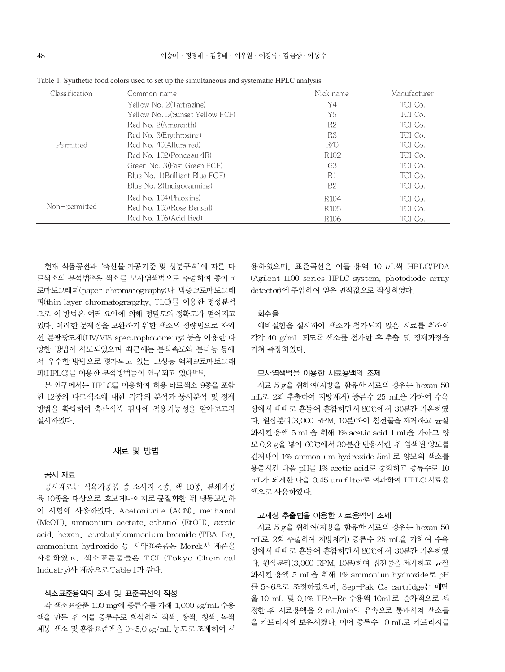| Classification | Common name                     | Nick name        | Manufacturer |
|----------------|---------------------------------|------------------|--------------|
|                | Yellow No. 2(Tartrazine)        | Y4               | TCI Co.      |
|                | Yellow No. 5(Sunset Yellow FCF) | Y5               | TCI Co.      |
|                | Red No. 2(Amaranth)             | R2               | TCI Co.      |
|                | Red No. 3 (Erythrosine)         | R <sub>3</sub>   | TCI Co.      |
| Permitted      | Red No. 40(Allura red)          | R40              | TCI Co.      |
|                | Red No. 102 (Ponce au 4R)       | R <sub>102</sub> | TCI Co.      |
|                | Green No. 3(Fast Green FCF)     | G <sub>3</sub>   | TCI Co.      |
|                | Blue No. 1(Brilliant Blue FCF)  | B1               | TCI Co.      |
|                | Blue No. 2(Indig ocarmine)      | B <sub>2</sub>   | TCI Co.      |
| Non-permitted  | Red No. 104 (Phloxine)          | R <sub>104</sub> | TCI Co.      |
|                | Red No. 105 (Rose Bengal)       | R <sub>105</sub> | TCI Co.      |
|                | Red No. 106 (Acid Red)          | R <sub>106</sub> | TCI Co.      |

Table 1. Synthetic food colors used to set up the simultaneous and systematic HPLC analysis

현재 식품공전과 '축산물 가공기준 및 성분규격'에 따른 타 르색소의 분석법22은 색소를 모사염색법으로 추출하여 종이크 로마토그래피(paper chromatography)나 박층크로마토그래 피(thin layer chromatograpghy, TLC)를 이용한 정성분석 으로 이 방법은 여러 요인에 의해 정밀도와 정확도가 떨어지고 있다. 이러한 문제점을 보완하기 위한 색소의 정량법으로 자외 선 분광광도계(UV/VIS spectrophotometry) 등을 이용한 다 양한 방법이 시도되었으며 최근에는 분석속도와 분리능 등에 서 우수한 방법으로 평가되고 있는 고성능 액체크로마토그래 피(HPLC)를 이용한 분석방법들이 연구되고 있다 !!-14.

본 연구에서는 HPLC를 이용하여 허용 타르색소 9종을 포함 한 12종의 타르색소에 대한 각각의 분석과 동시분석 및 정제 방법을 확립하여 축산식품 검사에 적용가능성을 알아보고자 실시하였다.

## 재료 및 방법

### 공시 재료

공시재료는 식육가공품 중 소시지 4종, 햄 10종, 분쇄가공 육 10종을 대상으로 호모게나이저로 균질화한 뒤 냉동보관하 여 시험에 사용하였다. Acetonitrile (ACN), methanol (MeOH), ammonium acetate, ethanol (EtOH), acetic acid, hexan, tetrabutylammonium bromide (TBA-Br), ammonium hydroxide 등 시약표준품은 Merck사 제품을 사용하였고, 색소표준품들은 TCI (Tokyo Chemical Industry)사 제품으로 Table 1과 같다.

### 색소표준용액의 조제 및 표준곡선의 작성

각 색소표준품 100 mg에 증류수를 가해 1,000 µg/mL 수용 액을 만든 후 이를 증류수로 희석하여 적색, 황색, 청색, 녹색 계통 색소 및 혼합표준액을 0~5.0 ug/mL 농도로 조제하여 사 용하였으며. 표준곡선은 이들 용액 10 uL씩 HP LC/PDA (Agilent 1100 series HPLC system, photodiode array detector)에 주입하여 얻은 면적값으로 작성하였다.

### 회수율

예비실험을 실시하여 색소가 첨가되지 않은 시료를 취하여 각각 40 g/mL 되도록 색소를 첨가한 후 추출 및 정제과정을 거쳐 측정하였다.

#### 모사염색법을 이용한 시료용액의 조제

시료 5 g을 취하여(지방을 함유한 시료의 경우는 hexan 50 mL로 2회 추출하여 지방제거) 증류수 25 mL을 가하여 수욕 상에서 때때로 흔들어 혼합하면서 80℃에서 30분간 가온하였 다. 원심분리(3,000 RPM, 10분)하여 침전물을 제거하고 균질 화시킨 용액 5 mL을 취해 1% acetic acid 1 mL을 가하고 양 모 0.2 g을 넣어 60℃에서 30분간 반응시킨 후 염색된 양모를 건져내어 1% ammonium hydroxide 5mL로 양모의 색소를 용출시킨 다음 pH를 1% acetic acid로 중화하고 증류수로 10 mL가 되게한 다음 0.45 um filter로 여과하여 HPLC 시료용 액으로 사용하였다.

#### 고체상 추출법을 이용한 시료용액의 조제

시료 5 g을 취하여(지방을 함유한 시료의 경우는 hexan 50 mL로 2회 추출하여 지방제거) 증류수 25 mL을 가하여 수욕 상에서 때때로 흔들어 혼합하면서 80℃에서 30분간 가온하였 다. 원심분리(3,000 RPM, 10분)하여 침전물을 제거하고 균질 화시킨 용액 5 mL을 취해 1% ammoniun hydroxide로 pH 를 5~6으로 조정하였으며, Sep-Pak Os cartridge는 메탄 올 10 mL 및 0.1% TBA-Br 수용액 10mL로 순차적으로 세 정한 후 시료용액을 2 mL/min의 유속으로 통과시켜 색소들 을 카트리지에 보유시켰다. 이어 증류수 10 mL로 카트리지를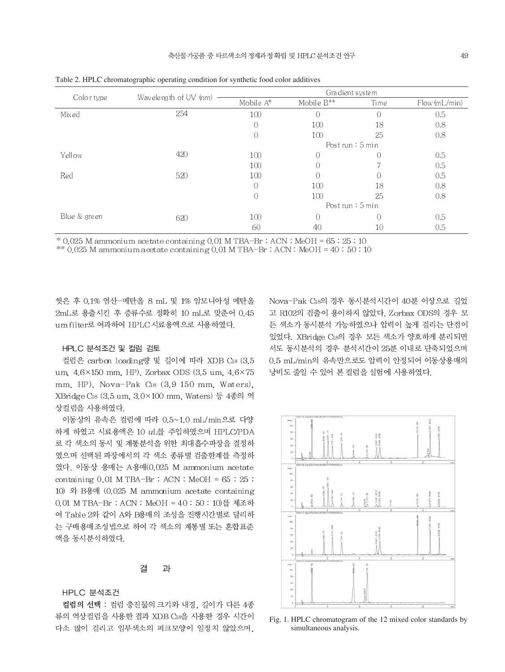|              | Wavelength of UV (nm) | Gradient system    |            |           |              |
|--------------|-----------------------|--------------------|------------|-----------|--------------|
| Colortype    |                       | Mobile A*          | Mobile B** | Time      | Flow(mL/min) |
| Mixed        | 254                   | 100                | $\bigcap$  | $\Omega$  | 0.5          |
|              |                       | $\theta$           | 100        | 18        | 0.8          |
|              |                       | $\overline{0}$     | 100        | 25        | 0.8          |
|              |                       | Post run $: 5$ min |            |           |              |
| Yellow       | 420                   | 100                | $\theta$   | 0         | 0.5          |
|              |                       | 100                | 0          |           | 0.5          |
| Red          | 520                   | 100                |            |           | 0.5          |
|              |                       | $\bigcap$          | 100        | 18        | 0.8          |
|              |                       | $\overline{0}$     | 100        | 25        | 0.8          |
|              |                       | Post run $: 5$ min |            |           |              |
| Blue & green | 620                   | 100                | $\bigcap$  | $\bigcap$ | 0.5          |
|              |                       | 60                 | 40         | 10        | 0.5          |

Table 2. HPLC chromatographic operating condition for synthetic food color additives

 $*$  0.025 M ammonium acetate containing 0.01 M TBA-Br : ACN : MeOH =  $65:25:10$ 

\*\*  $0.025$  M ammonium a cetate containing  $0.01$  M TBA-Br : ACN : MeOH =  $40:50:10$ 

씻은 후 0.1% 염산-메탄올 8 mL 및 1% 암모니아성 메탄올 2mL로 용출시킨 후 증류수로 정확히 10 mL로 맞춘어 0.45 um filter로 여과하여 HPLC시료용액으로 사용하였다.

#### HPLC 분석조건 및 컬럼 검토

컬럼은 carbon loading량 및 길이에 따라 XDB C18 (3.5 um,  $4.6 \times 150$  mm, HP), Zorbax ODS (3.5 um,  $4.6 \times 75$ mm, HP), Nova-Pak C18 (3.9 150 mm, Waters). XBridge C18 (3.5 um, 3.0×100 mm, Waters) 등 4종의 역 상컬럼을 사용하였다.

이동상의 유속은 컬럼에 따라 0.5~1.0 mL/min으로 다양 하게 하였고 시료용액은 10 uL를 주입하였으며 HPLC/PDA 로 각 색소의 동시 및 계통분석을 위한 최대흡수파장을 결정하 였으며 선택된 파장에서의 각 색소 종류별 검출한계를 측정하 였다. 이동상 용매는 A용매(0.025 M ammonium acetate containing  $0.01$  M TBA-Br : ACN : MeOH =  $65 : 25$  : 10) 와 B용매 (0.025 M ammonium acetate containing 0.01 M TBA-Br : ACN : MeOH = 40 : 50 : 10)를 제조하 여 Table 2와 같이 A와 B용매의 조성을 진행시간별로 달리하 는 구배용매조성법으로 하여 각 색소의 계통별 또는 혼합표준 액을 동시분석하였다.

#### 결 과

HPLC 분석조건

컬럼의 선택 : 컬럼 충진물의 크기와 내경, 길이가 다른 4종 류의 역상컬럼을 사용한 결과 XDB C18을 사용한 경우 시간이 다소 많이 걸리고 일부색소의 피크모양이 일정치 않았으며,

Nova-Pak C18의 경우 동시분석시간이 40분 이상으로 길었 고 R102의 검출이 용이하지 않았다. Zorbax ODS의 경우 모 든 색소가 동시분석 가능하였으나 압력이 높게 걸리는 단점이 있었다. XBridge C18의 경우 모든 색소가 양호하게 분리되면 서도 동시분석의 경우 분석시간이 25분 이내로 단축되었으며 0.5 mL/min의 유속만으로도 압력이 안정되어 이동상용매의 낭비도 줄일 수 있어 본 컬럼을 실험에 사용하였다.



Fig. 1. HPLC chromatogram of the 12 mixed color standards by simultaneous analysis.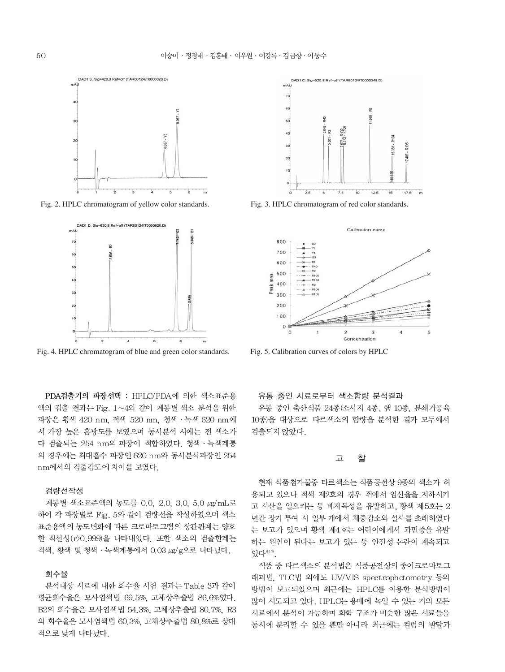

Fig. 2. HPLC chromatogram of yellow color standards.



Fig. 4. HPLC chromatogram of blue and green color standards. Fig. 5. Calibration curves of colors by HPLC

PDA검출기의 파장선택 : HPLC/PDA에 의한 색소표준용 액의 검출 결과는 Fig. 1~4와 같이 계통별 색소 분석을 위한 파장은 황색 420 nm, 적색 520 nm, 청색 · 녹색 620 nm에 서 가장 높은 흡광도를 보였으며 동시분석 시에는 전 색소가 다 검출되는 254 nm의 파장이 적합하였다. 청색 · 녹색계통 의 경우에는 최대흡수 파장인 620 nm와 동시분석파장인 254 nm에서의 검출감도에 차이를 보였다.

#### 검량선작성

계통별 색소표준액의 농도를 0.0, 2.0, 3.0, 5.0 µg/mL로 하여 각 파장별로 Fig. 5와 같이 검량선을 작성하였으며 색소 표준용액의 농도변화에 따른 크로마토그램의 상관관계는 양호 한 직선성(r) 0.999)을 나타내었다. 또한 색소의 검출한계는 적색, 황색 및 청색 · 녹색계통에서 0.03 μg/g으로 나타났다.

### 회수율

분석대상 시료에 대한 회수율 시험 결과는 Table 3과 같이 평균회수율은 모사염색법 69.5%. 고체상추출법 86.6%였다. B2의 회수율은 모사염색법 54.3%, 고체상추출법 80.7%, R3 의 회수율은 모사염색법 60.3%. 고체상추출법 80.8%로 상대 적으로 낮게 나타났다.



Fig. 3. HPLC chromatogram of red color standards.



#### 유통 중인 시료로부터 색소함량 분석결과

유통 중인 축산식품 24종(소시지 4종, 햄 10종, 분쇄가공육 10종)을 대상으로 타르색소의 함량을 분석한 결과 모두에서 검출되지 않았다.

#### 찰 고

현재 식품첨가물중 타르색소는 식품공전상 9종의 색소가 허 용되고 있으나 적색 제2호의 경우 쥐에서 임신율을 저하시키 고 사산을 일으키는 등 배자독성을 유발하고, 황색 제5호는 2 년간 장기 투여 시 일부 개에서 체중감소와 설사를 초래하였다 는 보고가 있으며 황색 제4호는 어린이에게서 과민증을 유발 하는 원인이 된다는 보고가 있는 등 안전성 논란이 계속되고 있다<sup>8,17</sup>

식품 중 타르색소의 분석법은 식품공전상의 종이크로마토그 래피법, TLC법 외에도 UV/VIS spectrophotometry 등의 방법이 보고되었으며 최근에는 HPLC를 이용한 분석방법이 많이 시도되고 있다. HPLC는 용매에 녹일 수 있는 거의 모든 시료에서 분석이 가능하며 화학 구조가 비슷한 많은 시료들을 동시에 분리할 수 있을 뿐만 아니라 최근에는 컬럼의 발달과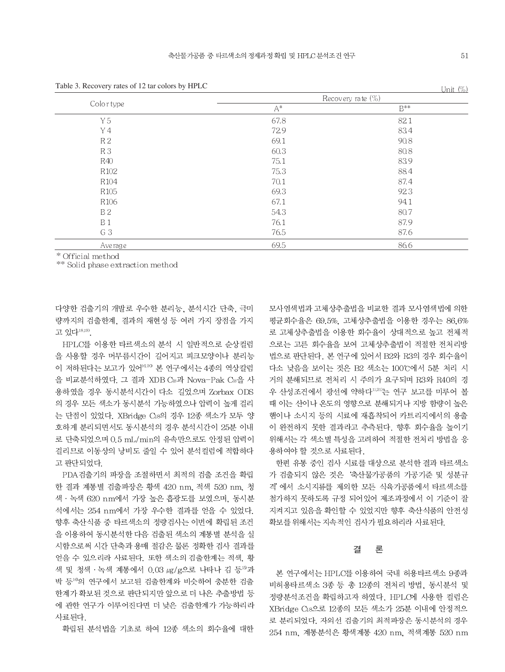|                  |                | $O(111C_{1}/10)$  |
|------------------|----------------|-------------------|
|                  |                | Recovery rate (%) |
| Color type       | $\mathsf{A}^*$ | $\mathsf{B}^{**}$ |
| Y 5              | 67.8           | 82.1              |
| Y 4              | 729            | 83.4              |
| R <sub>2</sub>   | 69.1           | 90.8              |
| R <sub>3</sub>   | 60.3           | 80.8              |
| R40              | 75.1           | 83.9              |
| R <sub>102</sub> | 75.3           | 88.4              |
| R <sub>104</sub> | 70.1           | 87.4              |
| R <sub>105</sub> | 69.3           | 92.3              |
| R106             | 67.1           | 94.1              |
| <b>B2</b>        | 54.3           | 80.7              |
| B <sub>1</sub>   | 76.1           | 87.9              |
| G 3              | 76.5           | 87.6              |
| Average          | 69.5           | 86.6              |

Table 3. Recovery rates of 12 tar colors by HPLC

\* Official method

\*\* Solid phase extraction method

다양한 검출기의 개발로 우수한 분리능, 분석시간 단축, 극미 량까지의 검출한계, 결과의 재현성 등 여러 가지 장점을 가지 고 있다<sup>18,19)</sup>.

HPLC를 이용한 타르색소의 분석 시 일반적으로 순상컬럼 을 사용할 경우 머무름시간이 길어지고 피크모양이나 분리능 이 저하된다는 보고가 있어<sup>16,20</sup> 본 연구에서는 4종의 역상칼럼 을 비교분석하였다. 그 결과 XDB CB과 Nova-Pak CB을 사 용하였을 경우 동시분석시간이 다소 길었으며 Zorbax ODS 의 경우 모든 색소가 동시분석 가능하였으나 압력이 높게 걸리 는 단점이 있었다. XBridge C18의 경우 12종 색소가 모두 양 호하게 분리되면서도 동시분석의 경우 분석시간이 25분 이내 로 단축되었으며 0.5 mL/min의 유속만으로도 안정된 압력이 걸리므로 이동상의 낭비도 줄일 수 있어 분석컬럼에 적합하다 고 판단되었다.

PDA 검출기의 파장을 조절하면서 최적의 검출 조건을 확립 한 결과 계통별 검출파장은 황색 420 nm, 적색 520 nm, 청 색 · 녹색 620 nm에서 가장 높은 흡광도를 보였으며, 동시분 석에서는 254 nm에서 가장 우수한 결과를 얻을 수 있었다. 향후 축산식품 중 타르색소의 정량검사는 이번에 확립된 조건 을 이용하여 동시분석한 다음 검출된 색소의 계통별 분석을 실 시함으로써 시간 단축과 용매 절감은 물론 정확한 검사 결과를 얻을 수 있으리라 사료된다. 또한 색소의 검출한계는 적색. 황 색 및 청색 · 녹색 계통에서 0.03 µg/g으로 나타나 김 등19과 박 등 이 연구에서 보고된 검출한계와 비슷하여 충분한 검출 한계가 확보된 것으로 판단되지만 앞으로 더 나은 추출방법 등 에 관한 연구가 이루어진다면 더 낮은 검출한계가 가능하리라 사료되다.

확립된 분석법을 기초로 하여 12종 색소의 회수율에 대한

모사염색법과 고체상추출법을 비교한 결과 모사염색법에 의한 평균회수율은 69.5%. 고체상추출법을 이용한 경우는 86.6% 로 고체상추출법을 이용한 회수율이 상대적으로 높고 전체적 으로는 고른 회수율을 보여 고체상추출법이 적절한 전처리방 법으로 판단된다. 본 연구에 있어서 B2와 R3의 경우 회수율이 다소 낮음을 보이는 것은 B2 색소는 100℃에서 5분 처리 시 거의 분해되므로 전처리 시 주의가 요구되며 R3와 R40의 경 우 산성조건에서 광선에 약하다<sup>11,21)</sup>는 연구 보고를 미루어 볼 때 이는 산이나 온도의 영향으로 분해되거나 지방 함량이 높은 햄이나 소시지 등의 시료에 재흡착되어 카트리지에서의 용출 이 완전하지 못한 결과라고 추측된다. 향후 회수율을 높이기 위해서는 각 색소별 특성을 고려하여 적절한 전처리 방법을 응 용하여야 할 것으로 사료된다.

한편 유통 중인 검사 시료를 대상으로 분석한 결과 타르색소 가 검출되지 않은 것은 '축산물가공품의 가공기준 및 성분규 격'에서 소시지류를 제외한 모든 식육가공품에서 타르색소를 첨가하지 못하도록 규정 되어있어 제조과정에서 이 기준이 잘 지켜지고 있음을 확인할 수 있었지만 향후 축산식품의 안전성 확보를 위해서는 지속적인 검사가 필요하리라 사료된다.

#### 곀 론

본 연구에서는 HPLC를 이용하여 국내 허용타르색소 9종과 비허용타르색소 3종 등 총 12종의 전처리 방법, 동시분석 및 정량분석조건을 확립하고자 하였다. HPLC에 사용한 컬럼은 XBridge C18으로 12종의 모든 색소가 25분 이내에 안정적으 로 분리되었다. 자외선 검출기의 최적파장은 동시분석의 경우 254 nm, 계통분석은 황색계통 420 nm, 적색계통 520 nm

 $I \text{Init}$   $(0\%)$